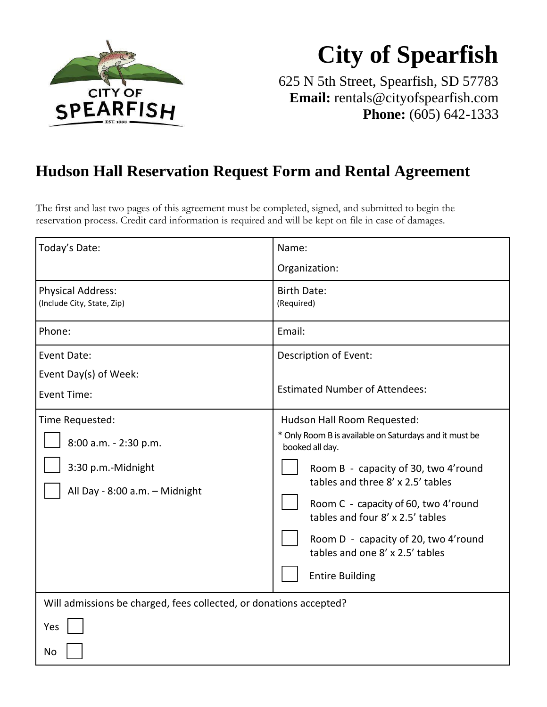

# **City of Spearfish**

625 N 5th Street, Spearfish, SD 57783 **Email:** [rentals@cityofspearfish.com](mailto:rentals@cityofspearfish.com) **Phone:** (605) 642-1333

## **Hudson Hall Reservation Request Form and Rental Agreement**

The first and last two pages of this agreement must be completed, signed, and submitted to begin the reservation process. Credit card information is required and will be kept on file in case of damages.

| Today's Date:                                                                                    | Name:                                                                                                                                                                                                                                                                                                                                                                  |  |  |
|--------------------------------------------------------------------------------------------------|------------------------------------------------------------------------------------------------------------------------------------------------------------------------------------------------------------------------------------------------------------------------------------------------------------------------------------------------------------------------|--|--|
|                                                                                                  | Organization:                                                                                                                                                                                                                                                                                                                                                          |  |  |
| <b>Physical Address:</b><br>(Include City, State, Zip)                                           | <b>Birth Date:</b><br>(Required)                                                                                                                                                                                                                                                                                                                                       |  |  |
| Phone:                                                                                           | Email:                                                                                                                                                                                                                                                                                                                                                                 |  |  |
| Event Date:                                                                                      | Description of Event:                                                                                                                                                                                                                                                                                                                                                  |  |  |
| Event Day(s) of Week:<br>Event Time:                                                             | <b>Estimated Number of Attendees:</b>                                                                                                                                                                                                                                                                                                                                  |  |  |
| Time Requested:<br>8:00 a.m. - 2:30 p.m.<br>3:30 p.m.-Midnight<br>All Day - 8:00 a.m. - Midnight | Hudson Hall Room Requested:<br>* Only Room B is available on Saturdays and it must be<br>booked all day.<br>Room B - capacity of 30, two 4'round<br>tables and three 8' x 2.5' tables<br>Room C - capacity of 60, two 4'round<br>tables and four 8' x 2.5' tables<br>Room D - capacity of 20, two 4'round<br>tables and one 8' x 2.5' tables<br><b>Entire Building</b> |  |  |
| Will admissions be charged, fees collected, or donations accepted?                               |                                                                                                                                                                                                                                                                                                                                                                        |  |  |
| Yes                                                                                              |                                                                                                                                                                                                                                                                                                                                                                        |  |  |
| <b>No</b>                                                                                        |                                                                                                                                                                                                                                                                                                                                                                        |  |  |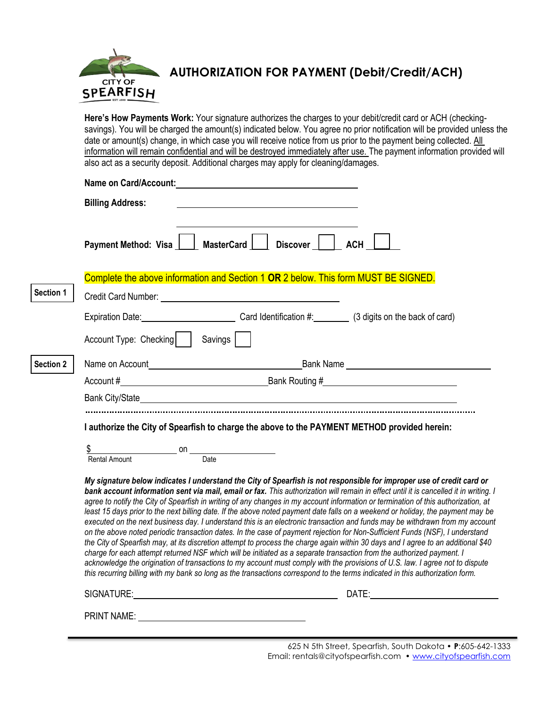

# **AUTHORIZATION FOR PAYMENT (Debit/Credit/ACH)**

**Here's How Payments Work:** Your signature authorizes the charges to your debit/credit card or ACH (checkingsavings). You will be charged the amount(s) indicated below. You agree no prior notification will be provided unless the date or amount(s) change, in which case you will receive notice from us prior to the payment being collected. All information will remain confidential and will be destroyed immediately after use. The payment information provided will also act as a security deposit. Additional charges may apply for cleaning/damages.

|                  |                                  | Name on Card/Account: Name on Card/Account:                                                                                                                                                                                                                                                                                                                                                                                                                                                                                                                                                                                                                                                                                                                                                                                                                                                                                                                                                                                                                                                                                                                                                                                                                                                                                             |       |
|------------------|----------------------------------|-----------------------------------------------------------------------------------------------------------------------------------------------------------------------------------------------------------------------------------------------------------------------------------------------------------------------------------------------------------------------------------------------------------------------------------------------------------------------------------------------------------------------------------------------------------------------------------------------------------------------------------------------------------------------------------------------------------------------------------------------------------------------------------------------------------------------------------------------------------------------------------------------------------------------------------------------------------------------------------------------------------------------------------------------------------------------------------------------------------------------------------------------------------------------------------------------------------------------------------------------------------------------------------------------------------------------------------------|-------|
|                  | <b>Billing Address:</b>          |                                                                                                                                                                                                                                                                                                                                                                                                                                                                                                                                                                                                                                                                                                                                                                                                                                                                                                                                                                                                                                                                                                                                                                                                                                                                                                                                         |       |
|                  |                                  | Payment Method: Visa     MasterCard     Discover     ACH                                                                                                                                                                                                                                                                                                                                                                                                                                                                                                                                                                                                                                                                                                                                                                                                                                                                                                                                                                                                                                                                                                                                                                                                                                                                                |       |
|                  |                                  | Complete the above information and Section 1 OR 2 below. This form MUST BE SIGNED.                                                                                                                                                                                                                                                                                                                                                                                                                                                                                                                                                                                                                                                                                                                                                                                                                                                                                                                                                                                                                                                                                                                                                                                                                                                      |       |
| Section 1        |                                  |                                                                                                                                                                                                                                                                                                                                                                                                                                                                                                                                                                                                                                                                                                                                                                                                                                                                                                                                                                                                                                                                                                                                                                                                                                                                                                                                         |       |
|                  |                                  | Expiration Date: Card Identification #: (3 digits on the back of card)                                                                                                                                                                                                                                                                                                                                                                                                                                                                                                                                                                                                                                                                                                                                                                                                                                                                                                                                                                                                                                                                                                                                                                                                                                                                  |       |
|                  | Account Type: Checking   Savings |                                                                                                                                                                                                                                                                                                                                                                                                                                                                                                                                                                                                                                                                                                                                                                                                                                                                                                                                                                                                                                                                                                                                                                                                                                                                                                                                         |       |
| <b>Section 2</b> |                                  | Name on Account <b>Name on Account</b> 2008 and 2008 and 2008 and 2008 and 2008 and 2008 and 2008 and 2008 and 2008 and 2008 and 2008 and 2008 and 2008 and 2008 and 2008 and 2008 and 2008 and 2008 and 2008 and 2008 and 2008 and                                                                                                                                                                                                                                                                                                                                                                                                                                                                                                                                                                                                                                                                                                                                                                                                                                                                                                                                                                                                                                                                                                     |       |
|                  |                                  |                                                                                                                                                                                                                                                                                                                                                                                                                                                                                                                                                                                                                                                                                                                                                                                                                                                                                                                                                                                                                                                                                                                                                                                                                                                                                                                                         |       |
|                  |                                  |                                                                                                                                                                                                                                                                                                                                                                                                                                                                                                                                                                                                                                                                                                                                                                                                                                                                                                                                                                                                                                                                                                                                                                                                                                                                                                                                         |       |
|                  |                                  | I authorize the City of Spearfish to charge the above to the PAYMENT METHOD provided herein:                                                                                                                                                                                                                                                                                                                                                                                                                                                                                                                                                                                                                                                                                                                                                                                                                                                                                                                                                                                                                                                                                                                                                                                                                                            |       |
|                  | \$<br><b>Rental Amount</b>       | $\overline{\phantom{a}}$ on $\overline{\phantom{a}}$ on $\overline{\phantom{a}}$<br>Date                                                                                                                                                                                                                                                                                                                                                                                                                                                                                                                                                                                                                                                                                                                                                                                                                                                                                                                                                                                                                                                                                                                                                                                                                                                |       |
|                  |                                  | My signature below indicates I understand the City of Spearfish is not responsible for improper use of credit card or<br>bank account information sent via mail, email or fax. This authorization will remain in effect until it is cancelled it in writing. I<br>agree to notify the City of Spearfish in writing of any changes in my account information or termination of this authorization, at<br>least 15 days prior to the next billing date. If the above noted payment date falls on a weekend or holiday, the payment may be<br>executed on the next business day. I understand this is an electronic transaction and funds may be withdrawn from my account<br>on the above noted periodic transaction dates. In the case of payment rejection for Non-Sufficient Funds (NSF), I understand<br>the City of Spearfish may, at its discretion attempt to process the charge again within 30 days and I agree to an additional \$40<br>charge for each attempt returned NSF which will be initiated as a separate transaction from the authorized payment. I<br>acknowledge the origination of transactions to my account must comply with the provisions of U.S. law. I agree not to dispute<br>this recurring billing with my bank so long as the transactions correspond to the terms indicated in this authorization form. |       |
|                  | SIGNATURE:                       |                                                                                                                                                                                                                                                                                                                                                                                                                                                                                                                                                                                                                                                                                                                                                                                                                                                                                                                                                                                                                                                                                                                                                                                                                                                                                                                                         | DATE: |

PRINT NAME:

625 N 5th Street, Spearfish, South Dakota • **P**:605-642-1333 Email[: rentals@cityofspearfish.com](mailto:rentals@cityofspearfish.com) • [www.cityofspearfish.com](http://www.cityofspearfish.com/)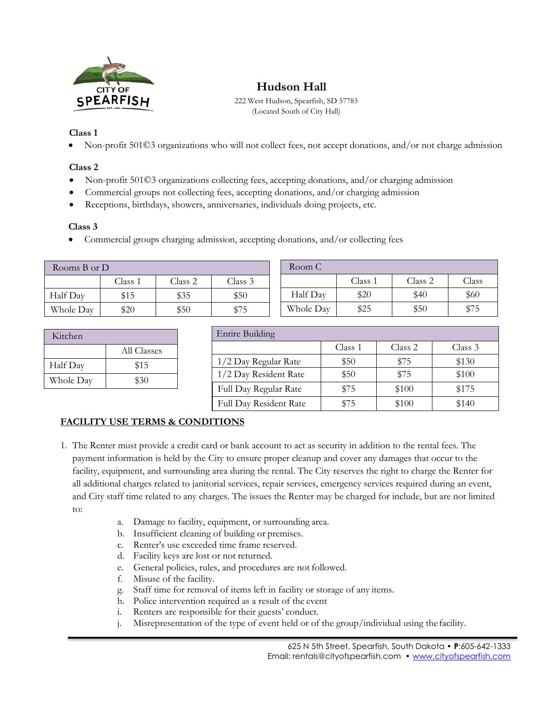

### **Hudson Hall**

222 West Hudson, Spearfish, SD 57783 (Located South of City Hall)

#### **Class 1**

• Non-profit 501©3 organizations who will not collect fees, not accept donations, and/or not charge admission

#### **Class 2**

- Non-profit 501©3 organizations collecting fees, accepting donations, and/or charging admission
- Commercial groups not collecting fees, accepting donations, and/or charging admission
- Receptions, birthdays, showers, anniversaries, individuals doing projects, etc.

#### **Class 3**

• Commercial groups charging admission, accepting donations, and/or collecting fees

| Rooms $B$ or $D$ |         |         | Room C  |           |         |         |       |
|------------------|---------|---------|---------|-----------|---------|---------|-------|
|                  | Class 1 | Class 2 | Class 3 |           | Class i | Class 2 | Class |
| Half Day         | \$15    | \$35    | \$50    | Half Day  | \$20    | \$40    | \$60  |
| Whole Day        | \$20    | \$50    | \$75    | Whole Day | \$25    | \$50    | \$75  |

| Kitchen   |             |  |
|-----------|-------------|--|
|           | All Classes |  |
| Half Day  | \$15        |  |
| Whole Day | \$30        |  |

| <b>Entire Building</b> |         |         |         |  |  |
|------------------------|---------|---------|---------|--|--|
|                        | Class 1 | Class 2 | Class 3 |  |  |
| 1/2 Day Regular Rate   | \$50    | \$75    | \$130   |  |  |
| 1/2 Day Resident Rate  | \$50    | \$75    | \$100   |  |  |
| Full Day Regular Rate  | \$75    | \$100   | \$175   |  |  |
| Full Day Resident Rate | \$75    | \$100   | \$140   |  |  |

### **FACILITY USE TERMS & CONDITIONS**

- 1. The Renter must provide a credit card or bank account to act as security in addition to the rental fees. The payment information is held by the City to ensure proper cleanup and cover any damages that occur to the facility, equipment, and surrounding area during the rental. The City reserves the right to charge the Renter for all additional charges related to janitorial services, repair services, emergency services required during an event, and City staff time related to any charges. The issues the Renter may be charged for include, but are not limited to:
	- a. Damage to facility, equipment, or surrounding area.
	- b. Insufficient cleaning of building or premises.
	- c. Renter's use exceeded time frame reserved.
	- d. Facility keys are lost or not returned.
	- e. General policies, rules, and procedures are not followed.
	- f. Misuse of the facility.
	- g. Staff time for removal of items left in facility or storage of any items.
	- h. Police intervention required as a result of the event
	- i. Renters are responsible for their guests' conduct.
	- j. Misrepresentation of the type of event held or of the group/individual using the facility.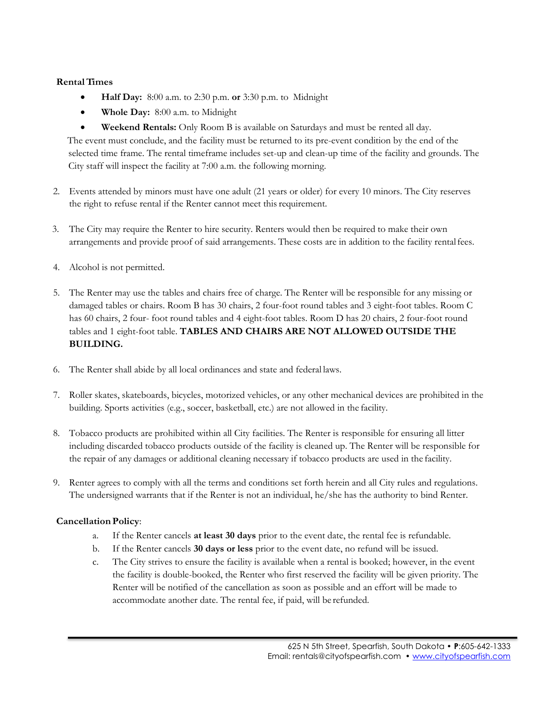#### **RentalTimes**

- **Half Day:** 8:00 a.m. to 2:30 p.m. **or** 3:30 p.m. to Midnight
- **Whole Day:** 8:00 a.m. to Midnight
- **Weekend Rentals:** Only Room B is available on Saturdays and must be rented all day.

The event must conclude, and the facility must be returned to its pre-event condition by the end of the selected time frame. The rental timeframe includes set-up and clean-up time of the facility and grounds. The City staff will inspect the facility at 7:00 a.m. the following morning.

- 2. Events attended by minors must have one adult (21 years or older) for every 10 minors. The City reserves the right to refuse rental if the Renter cannot meet this requirement.
- 3. The City may require the Renter to hire security. Renters would then be required to make their own arrangements and provide proof of said arrangements. These costs are in addition to the facility rentalfees.
- 4. Alcohol is not permitted.
- 5. The Renter may use the tables and chairs free of charge. The Renter will be responsible for any missing or damaged tables or chairs. Room B has 30 chairs, 2 four-foot round tables and 3 eight-foot tables. Room C has 60 chairs, 2 four- foot round tables and 4 eight-foot tables. Room D has 20 chairs, 2 four-foot round tables and 1 eight-foot table. **TABLES AND CHAIRS ARE NOT ALLOWED OUTSIDE THE BUILDING.**
- 6. The Renter shall abide by all local ordinances and state and federal laws.
- 7. Roller skates, skateboards, bicycles, motorized vehicles, or any other mechanical devices are prohibited in the building. Sports activities (e.g., soccer, basketball, etc.) are not allowed in the facility.
- 8. Tobacco products are prohibited within all City facilities. The Renter is responsible for ensuring all litter including discarded tobacco products outside of the facility is cleaned up. The Renter will be responsible for the repair of any damages or additional cleaning necessary if tobacco products are used in the facility.
- 9. Renter agrees to comply with all the terms and conditions set forth herein and all City rules and regulations. The undersigned warrants that if the Renter is not an individual, he/she has the authority to bind Renter.

#### **Cancellation Policy**:

- a. If the Renter cancels **at least 30 days** prior to the event date, the rental fee is refundable.
- b. If the Renter cancels **30 days or less** prior to the event date, no refund will be issued.
- c. The City strives to ensure the facility is available when a rental is booked; however, in the event the facility is double-booked, the Renter who first reserved the facility will be given priority. The Renter will be notified of the cancellation as soon as possible and an effort will be made to accommodate another date. The rental fee, if paid, will be refunded.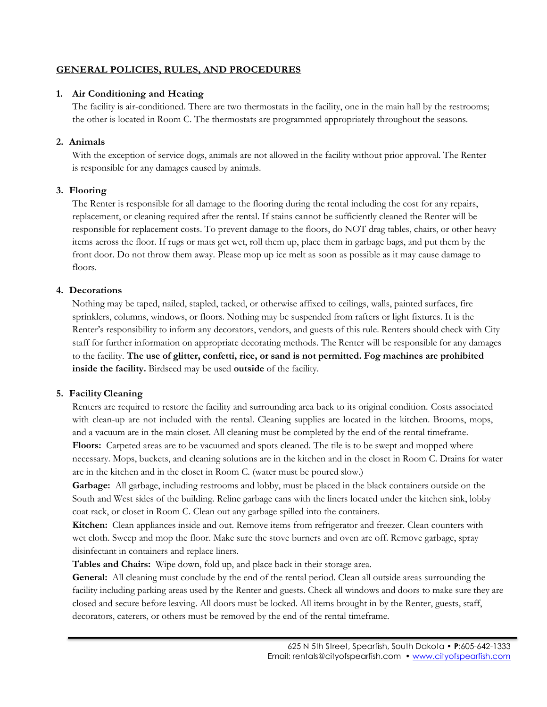#### **GENERAL POLICIES, RULES, AND PROCEDURES**

#### **1. Air Conditioning and Heating**

The facility is air-conditioned. There are two thermostats in the facility, one in the main hall by the restrooms; the other is located in Room C. The thermostats are programmed appropriately throughout the seasons.

#### **2. Animals**

With the exception of service dogs, animals are not allowed in the facility without prior approval. The Renter is responsible for any damages caused by animals.

#### **3. Flooring**

The Renter is responsible for all damage to the flooring during the rental including the cost for any repairs, replacement, or cleaning required after the rental. If stains cannot be sufficiently cleaned the Renter will be responsible for replacement costs. To prevent damage to the floors, do NOT drag tables, chairs, or other heavy items across the floor. If rugs or mats get wet, roll them up, place them in garbage bags, and put them by the front door. Do not throw them away. Please mop up ice melt as soon as possible as it may cause damage to floors.

#### **4. Decorations**

Nothing may be taped, nailed, stapled, tacked, or otherwise affixed to ceilings, walls, painted surfaces, fire sprinklers, columns, windows, or floors. Nothing may be suspended from rafters or light fixtures. It is the Renter's responsibility to inform any decorators, vendors, and guests of this rule. Renters should check with City staff for further information on appropriate decorating methods. The Renter will be responsible for any damages to the facility. **The use of glitter, confetti, rice, or sand is not permitted. Fog machines are prohibited inside the facility.** Birdseed may be used **outside** of the facility.

#### **5. Facility Cleaning**

Renters are required to restore the facility and surrounding area back to its original condition. Costs associated with clean-up are not included with the rental. Cleaning supplies are located in the kitchen. Brooms, mops, and a vacuum are in the main closet. All cleaning must be completed by the end of the rental timeframe. **Floors:** Carpeted areas are to be vacuumed and spots cleaned. The tile is to be swept and mopped where necessary. Mops, buckets, and cleaning solutions are in the kitchen and in the closet in Room C. Drains for water are in the kitchen and in the closet in Room C. (water must be poured slow.)

**Garbage:** All garbage, including restrooms and lobby, must be placed in the black containers outside on the South and West sides of the building. Reline garbage cans with the liners located under the kitchen sink, lobby coat rack, or closet in Room C. Clean out any garbage spilled into the containers.

**Kitchen:** Clean appliances inside and out. Remove items from refrigerator and freezer. Clean counters with wet cloth. Sweep and mop the floor. Make sure the stove burners and oven are off. Remove garbage, spray disinfectant in containers and replace liners.

**Tables and Chairs:** Wipe down, fold up, and place back in their storage area.

General: All cleaning must conclude by the end of the rental period. Clean all outside areas surrounding the facility including parking areas used by the Renter and guests. Check all windows and doors to make sure they are closed and secure before leaving. All doors must be locked. All items brought in by the Renter, guests, staff, decorators, caterers, or others must be removed by the end of the rental timeframe.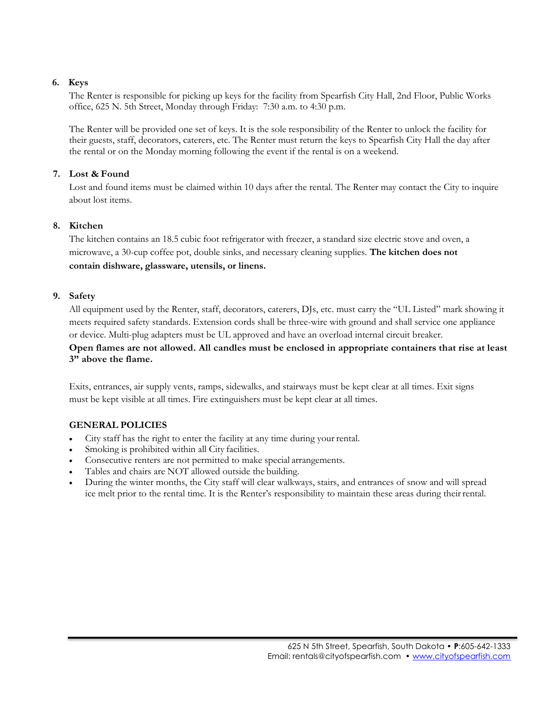#### **6. Keys**

The Renter is responsible for picking up keys for the facility from Spearfish City Hall, 2nd Floor, Public Works office, 625 N. 5th Street, Monday through Friday: 7:30 a.m. to 4:30 p.m.

The Renter will be provided one set of keys. It is the sole responsibility of the Renter to unlock the facility for their guests, staff, decorators, caterers, etc. The Renter must return the keys to Spearfish City Hall the day after the rental or on the Monday morning following the event if the rental is on a weekend.

#### **7. Lost & Found**

Lost and found items must be claimed within 10 days after the rental. The Renter may contact the City to inquire about lost items.

#### **8. Kitchen**

The kitchen contains an 18.5 cubic foot refrigerator with freezer, a standard size electric stove and oven, a microwave, a 30-cup coffee pot, double sinks, and necessary cleaning supplies. **The kitchen does not contain dishware, glassware, utensils, or linens.**

#### **9. Safety**

All equipment used by the Renter, staff, decorators, caterers, DJs, etc. must carry the "UL Listed" mark showing it meets required safety standards. Extension cords shall be three-wire with ground and shall service one appliance or device. Multi-plug adapters must be UL approved and have an overload internal circuit breaker.

#### **Open flames are not allowed. All candles must be enclosed in appropriate containers that rise at least 3" above the flame.**

Exits, entrances, air supply vents, ramps, sidewalks, and stairways must be kept clear at all times. Exit signs must be kept visible at all times. Fire extinguishers must be kept clear at all times.

#### **GENERAL POLICIES**

- City staff has the right to enter the facility at any time during your rental.
- Smoking is prohibited within all City facilities.
- Consecutive renters are not permitted to make special arrangements.
- Tables and chairs are NOT allowed outside the building.
- During the winter months, the City staff will clear walkways, stairs, and entrances of snow and will spread ice melt prior to the rental time. It is the Renter's responsibility to maintain these areas during their rental.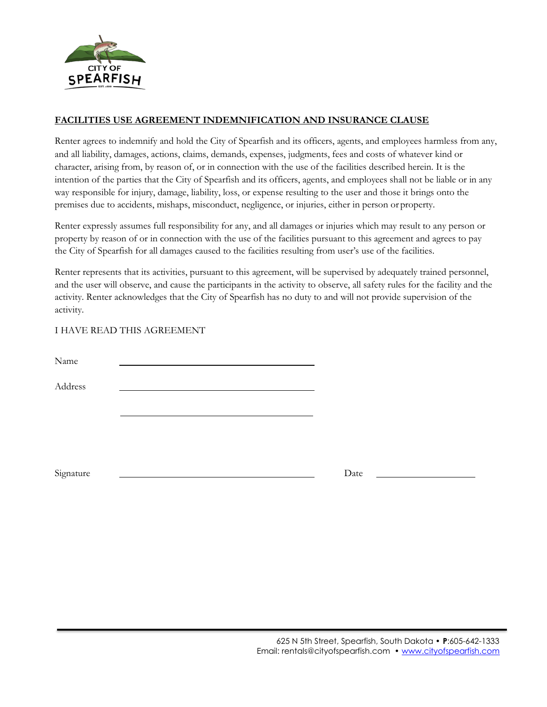

#### **FACILITIES USE AGREEMENT INDEMNIFICATION AND INSURANCE CLAUSE**

Renter agrees to indemnify and hold the City of Spearfish and its officers, agents, and employees harmless from any, and all liability, damages, actions, claims, demands, expenses, judgments, fees and costs of whatever kind or character, arising from, by reason of, or in connection with the use of the facilities described herein. It is the intention of the parties that the City of Spearfish and its officers, agents, and employees shall not be liable or in any way responsible for injury, damage, liability, loss, or expense resulting to the user and those it brings onto the premises due to accidents, mishaps, misconduct, negligence, or injuries, either in person or property.

Renter expressly assumes full responsibility for any, and all damages or injuries which may result to any person or property by reason of or in connection with the use of the facilities pursuant to this agreement and agrees to pay the City of Spearfish for all damages caused to the facilities resulting from user's use of the facilities.

Renter represents that its activities, pursuant to this agreement, will be supervised by adequately trained personnel, and the user will observe, and cause the participants in the activity to observe, all safety rules for the facility and the activity. Renter acknowledges that the City of Spearfish has no duty to and will not provide supervision of the activity.

#### I HAVE READ THIS AGREEMENT

| Name      |      |  |
|-----------|------|--|
| Address   |      |  |
|           |      |  |
|           |      |  |
|           |      |  |
| Signature | Date |  |